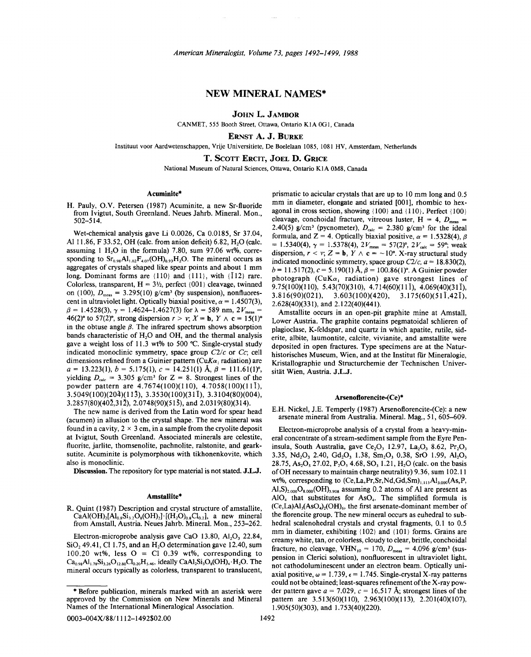# NEW MINERAL NAMES\*

JOHN L. JAMBOR

CANMET, 555 Booth Street, Ottawa, Ontario KIA OGI, Canada

ERNST A. J. BURKE

lnstituut voor Aardwetenschappen, Vrije Universitiete, De Boelelaan 1085, 1081 HV, Amsterdam, Netherlands

T. SCOTT ERCIT, JOEL D. GRICE

National Museum of Natural Sciences, Ottawa, Ontario KIA OM8, Canada

#### Acuminite\*

H. Pauly, O.Y. Petersen (1987) Acuminite, a new Sr-fluoride from Ivigtut, South Greenland. Neues Jahrb. Mineral. Mon., 502-514.

Wet-chemical analysis gave Li 0.0026, Ca 0.0185, Sr 37.04, Al 11.86, F 33.52, OH (calc. from anion deficit) 6.82,  $H<sub>2</sub>O$  (calc. assuming 1 H<sub>2</sub>O in the formula) 7.80, sum 97.06 wt%, corresponding to  $Sr<sub>0.98</sub>Al<sub>1.02</sub>F<sub>4.07</sub>(OH)<sub>0.93</sub>H<sub>2</sub>O$ . The mineral occurs as aggregates of crystals shaped like spear points and about I mm long. Dominant forms are  $\{110\}$  and  $\{111\}$ , with  $\{112\}$  rare. Colorless, transparent,  $H = 3\frac{1}{2}$ , perfect {001} cleavage, twinned on (100),  $D_{\text{meas}} = 3.295(10)$  g/cm<sup>3</sup> (by suspension), nonfluorescent in ultraviolet light. Optically biaxial positive,  $\alpha = 1.4507(3)$  $\beta = 1.4528(3), \gamma = 1.4624 - 1.4627(3)$  for  $\lambda = 589$  nm,  $2V_{\text{meas}} =$ 46(2)° to 57(2)°, strong dispersion  $r > v$ ;  $X = b$ ,  $Y \wedge c = 15(1)$ ° in the obtuse angle  $\beta$ . The infrared spectrum shows absorption bands characteristic of H<sub>2</sub>O and OH, and the thermal analysis gave a weight loss of 11.3 wt% to 500°C. Single-crystal study indicated monoclinic symmetry, space group *C2/c* or *Cc;* cell dimensions refined from a Guinier pattern *(CuKa,* radiation) are  $a = 13.223(1), b = 5.175(1), c = 14.251(1)$  Å,  $\beta = 111.61(1)^{6}$ yielding  $D_{\text{calc}} = 3.305$  g/cm<sup>3</sup> for Z = 8. Strongest lines of the powder pattern are 4.7674(100)(110), 4.7058(100)(11 I), 3.5049(100)(204)(113), 3.3530(100)(31 I), 3.3104(80)(004), 3.2857(80)(402,312), 2.0748(90)(515), and 2.0319(80)(314).

The new name is derived from the Latin word for spear head (acumen) in allusion to the crystal shape. The new mineral was found in a cavity,  $2 \times 3$  cm, in a sample from the cryolite deposit at Ivigtut, South Greenland. Associated minerals are celestite, fluorite, jarlite, thomsenolite, pachnolite, ralstonite, and gearksutite. Acuminite is polymorphous with tikhonenkovite, which also is monoclinic.

Discussion. The repository for type material is not stated. J.L.J.

#### Amstallite\*

R. Quint (1987) Description and crystal structure of amstallite,  $CaAl(OH)_{2}[Al_{0.8}Si_{3.2}O_{8}(OH)_{2}]\cdot [(H_{2}O)_{0.8}Cl_{0.2}]$ , a new mineral from Amstall, Austria. Neues Jahrb. Mineral. Mon., 253-262.

Electron-microprobe analysis gave CaO 13.80,  $Al_2O_3$  22.84,  $SiO<sub>2</sub>$  49.41, Cl 1.75, and an H<sub>2</sub>O determination gave 12.40, sum 100.20 wt%, less  $O = Cl$  0.39 wt%, corresponding to  $Ca_{0.98}Al_{1.78}Si_{3.26}O_{12.80}Cl_{0.20}H_{5.46}$ , ideally  $CaAl_2Si_3O_8(OH)_4 \cdot H_2O$ . The mineral occurs typically as colorless, transparent to translucent, prismatic to acicular crystals that are up to 10 mm long and 0.5 mm in diameter, elongate and striated [001], rhombic to hexagonal in cross section, showing  ${100}$  and  ${110}$ . Perfect  ${100}$ cleavage, conchoidal fracture, vitreous luster,  $H = 4$ ,  $D_{meas}$ 2.40(5) g/cm<sup>3</sup> (pycnometer),  $D_{\text{calc}} = 2.380$  g/cm<sup>3</sup> for the ideal formula, and Z = 4. Optically biaxial positive,  $\alpha = 1.5328(4)$ ,  $\beta$ = 1.5340(4),  $\gamma$  = 1.5378(4),  $2V_{\text{meas}}$  = 57(2)°,  $2V_{\text{calc}}$  = 59°; weak dispersion,  $r < v$ ;  $Z = b$ ,  $Y \wedge c = -10^{\circ}$ . X-ray structural study indicated monoclinic symmetry, space group  $C2/c$ ,  $a = 18.830(2)$ ,  $b=11.517(2)$ ,  $c=5.190(1)$  Å,  $\beta=100.86(1)$ °. A Guinier powder photograph *(CuK* $\alpha$ *, radiation)* gave strongest lines of 9.75(100)(110), 5.43(70)(310), 4.714(60)(11 I), 4.069(40)(311),  $3.816(90)(021)$ ,  $3.603(100)(420)$ ,  $3.175(60)(51\overline{1},42\overline{1})$ , 2.628(40)(331), and 2.122(40)(441).

Amstallite occurs in an open-pit graphite mine at Amstall, Lower Austria. The graphite contains pegmatoidal schlieren of plagioclase, K-feldspar, and quartz in which apatite, rutile, siderite, albite, laumontite, calcite, vivianite, and amstallite were deposited in open fractures. Type specimens are at the Naturhistorisches Museum, Wien, and at the Institut für Mineralogie, Kristallographie und Structurchemie der Technischen Universität Wien, Austria. J.L.J.

### Arsenoflorencite-(Ce)\*

E.H. Nickel, J.E. Temperly (1987) Arsenoflorencite-(Ce): a new arsenate mineral from Australia. Mineral. Mag., 51, 605-609.

Electron-microprobe analysis of a crystal from a heavy-mineral concentrate of a stream-sediment sample from the Eyre Peninsula, South Australia, gave  $Ce<sub>2</sub>O<sub>3</sub>$  12.97, La<sub>2</sub>O<sub>3</sub> 8.62, Pr<sub>2</sub>O<sub>3</sub> 3.35, Nd<sub>2</sub>O<sub>3</sub> 2.40, Gd<sub>2</sub>O<sub>3</sub> 1.38, Sm<sub>2</sub>O<sub>3</sub> 0.38, SrO 1.99, Al<sub>2</sub>O<sub>3</sub> 28.75, As<sub>2</sub>O<sub>5</sub> 27.02, P<sub>2</sub>O<sub>5</sub> 4.68, SO<sub>3</sub> 1.21, H<sub>2</sub>O (calc. on the basis ofOH necessary to maintain charge neutrality) 9.36, sum 102.11 wt%, corresponding to (Ce,La,Pr,Sr,Nd,Gd,Sm)<sub>1,115</sub>Al<sub>3.000</sub>(As,P,  $A$ l,S)<sub>2.000</sub>O<sub>8.000</sub>(OH)<sub>5.908</sub> assuming 0.2 atoms of Al are present as  $AIO<sub>4</sub>$  that substitutes for  $AsO<sub>4</sub>$ . The simplified formula is  $(Ce, La)Al<sub>3</sub>(AsO<sub>4</sub>)<sub>2</sub>(OH)<sub>6</sub>$ , the first arsenate-dominant member of the florencite group. The new mineral occurs as euhedral to subhedral scalenohedral crystals and crystal fragments, 0.1 to 0.5 mm in diameter, exhibiting  ${102}$  and  ${101}$  forms. Grains are creamy white, tan, or colorless, cloudy to clear, brittle, conchoidal fracture, no cleavage,  $VHN_{10} = 170$ ,  $D_{meas} = 4.096$  g/cm<sup>3</sup> (suspension in Clerici solution), nonfluorescent in ultraviolet light, not cathodoluminescent under an electron beam. Optically uniaxial positive,  $\omega = 1.739$ ,  $\epsilon = 1.745$ . Single-crystal X-ray pattern could not be obtained; least-squares refinement of the X-ray powder pattern gave  $a = 7.029$ ,  $c = 16.517$  Å; strongest lines of the pattern are 3.513(60)(110), 2.963(100)(113), 2.201(40)(107), 1.905(50)(303), and 1.753(40)(220).

approved by the Commission on New Minerals and Mineral Before publication, minerals marked with an asterisk were Names of the International Mineralogical Association.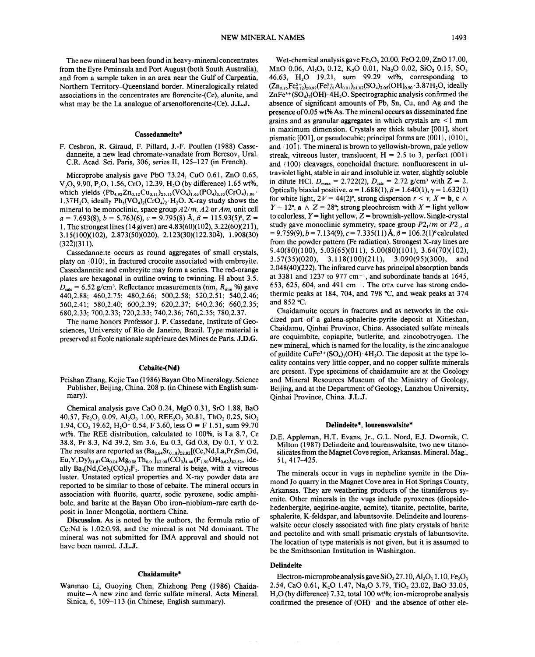The new mineral has been found in heavy-mineral concentrates from the Eyre Peninsula and Port August (both South Australia), and from a sample taken in an area near the Gulf of Carpentia, Northern Territory-Queensland border. Mineralogically related associations in the concentrates are florencite-(Ce), alunite, and what may be the La analogue of arsenoflorencite-(Ce). J.L.J.

### Cassedanneite\*

F. Cesbron, R. Giraud, F. Pillard, J.-F. Poullen (1988) Cassedanneite, a new lead chromate-vanadate from Beresov, Ural. C.R. Acad. Sci. Paris, 306, series II, 125-127 (in French).

Microprobe analysis gave PbO 73.24, CuO 0.61, ZnO 0.65, V,O, 9.90, P<sub>2</sub>O, 1.56, CrO<sub>3</sub> 12.39, H<sub>2</sub>O (by difference) 1.65 wt%, which yields  $(Pb_{4.92}Zn_{0.12}Cu_{0.11})_{25.15}(VO_4)_{1.63}(PO_4)_{0.33}(CrO_4)_{1.86}$ . 1.37H<sub>2</sub>O, ideally  $Pb_5(VO_4)_2(CrO_4)_2 \cdot H_2O$ . X-ray study shows the mineral to be monoclinic, space group *A2/m. A2* or *Am.* unit cell  $a = 7.693(8), b = 5.763(6), c = 9.795(8)$  Å,  $\beta = 115.93(5)$ °, Z = 1. The strongest lines (14 given) are  $4.83(60)(10\overline{2})$ ,  $3.22(60)(21\overline{1})$ , 3.15( 100)( 102), 2.87 3(50)(020), 2.123(30)( 122. 304), 1.908(30)  $(32\bar{2})(311)$ .

Cassedanneite occurs as round aggregates of small crystals, platy on  ${010}$ , in fractured crocoite associated with embreyite. Cassedanneite and embreyite may form a series. The red-orange plates are hexagonal in outline owing to twinning. H about 3.5.  $D_{\text{calc}} = 6.52 \text{ g/cm}^3$ . Reflectance measurements (nm,  $R_{\text{min}}$ %) gave 440,2.88; 460,2.75; 480,2.66; 500,2.58; 520,2.51; 540,2.46; 560,2.41; 580,2.40; 600,2.39; 620,2.37; 640,2.36; 660,2.35; 680,2.33; 700,2.33; 720,2.33; 740,2.36; 760,2.35; 780,2.37.

The name honors Professor J. P. Cassedane, Institute of Geosciences, University of Rio de Janeiro, Brazil. Type material is preserved at Ecole nationale superieure des Mines de Paris. J.D.G.

#### Cebaite-(Nd)

Peishan Zhang, Kejie Tao (1986) Bayan Obo Mineralogy. Science Publisher, Beijing, China. 208 p. (in Chinese with English summary).

Chemical analysis gave CaO 0.24, MgO 0.31, SrO 1.88, BaO 40.57, Fe<sub>2</sub>O<sub>3</sub> 0.09, Al<sub>2</sub>O<sub>3</sub> 1.00, REE<sub>2</sub>O<sub>3</sub> 30.81, ThO<sub>2</sub> 0.25, SiO<sub>2</sub> 1.94, CO, 19.62, H<sub>2</sub>O<sup>+</sup> 0.54, F 3.60, less O = F 1.51, sum 99.70 wt%. The REE distribution, calculated to 100%, is La 8.7, Ce 38.8, Pr 8.3, Nd 39.2, Sm 3.6, Eu 0.3, Gd 0.8, Dy 0.1, Y 0.2. The results are reported as  $(Ba_{2.64}Sr_{0.18})_{22.82}[(Ce,Nd,La,Pr,Sm,Gd,$  $Eu, Y, Dy$ <sub>21.87</sub>Ca<sub>0.04</sub>Mg<sub>0.08</sub>Th<sub>0.01</sub>]<sub>22.00</sub>(CO<sub>3</sub>)<sub>4.46</sub>(F<sub>1.90</sub>OH<sub>0.62</sub>)<sub>22.52</sub>, ideally  $Ba_3(Nd, Ce)_2(CO_3)$ ,  $F_2$ . The mineral is beige, with a vitreous luster. Unstated optical properties and X-ray powder data are reported to be similar to those of cebaite. The mineral occurs in association with fluorite, quartz, sodic pyroxene, sodic amphibole, and barite at the Bayan Obo iron-niobium-rare earth deposit in Inner Mongolia, northern China.

Discussion. As is noted by the authors, the formula ratio of Ce:Nd is 1.02:0.98, and the mineral is not Nd dominant. The mineral was not submitted for IMA approval and should not have been named. J.L.J.

#### Chaidamuite\*

Wanmao Li, Guoying Chen, Zhizhong Peng (1986) Chaidamuite-A new zinc and ferric sulfate mineral. Acta Mineral. Sinica, 6, 109-113 (in Chinese, English summary).

Wet-chemical analysis gave Fe<sub>2</sub>O<sub>2</sub> 20.00, FeO 2.09, ZnO 17.00, MnO 0.06, Al<sub>2</sub>O<sub>3</sub> 0.12, K<sub>2</sub>O 0.01, Na<sub>3</sub>O 0.02, SiO<sub>2</sub> 0.15, SO<sub>3</sub> 46.63, H,O 19.21, sum 99.29 wt%, corresponding to  $(Zn_{0.85}Fe_{0.12}^{2+})_{20.97}(Fe_{1.01}^{3+}Al_{0.01})_{21.02}(SO_4)_{2.05}(OH)_{0.90}\cdot3.87H_2O$ , ideally  $ZnFe^{3+}(SO_4)$ , (OH) $\cdot$ 4H<sub>2</sub>O. Spectrographic analysis confirmed the absence of significant amounts of Pb, Sn, Cu, and Ag and the presence of 0.05 wt% As. The mineral occurs as disseminated fine grains and as granular aggregates in which crystals are < I mm in maximum dimension. Crystals are thick tabular [001], short pismatic [001], or pseudocubic; principal forms are  $\{001\}$ ,  $\{010\}$ , and  $\{10\}$ . The mineral is brown to yellowish-brown, pale yellow streak, vitreous luster, translucent,  $H = 2.5$  to 3, perfect  $\{001\}$ and {l00} cleavages, conchoidal fracture, nonfluorescent in ultraviolet light, stable in air and insoluble in water, slightly soluble in dilute HCl.  $D_{\text{meas}} = 2.722(2)$ ,  $D_{\text{calc}} = 2.72$  g/cm<sup>3</sup> with  $Z = 2$ . Optically biaxial positive,  $\alpha = 1.688(1), \beta = 1.640(1), \gamma = 1.632(1)$ for white light,  $2V = 44(2)^\circ$ , strong dispersion  $r < v$ ,  $X = \mathbf{b}$ ,  $\mathbf{c} \wedge \mathbf{c}$  $Y = 12^{\circ}$ , **a**  $\wedge$   $Z = 28^{\circ}$ ; strong pleochroism with  $X =$  light yellow to colorless,  $Y =$  light yellow,  $Z =$  brownish-yellow. Single-crystally study gave monoclinic symmetry, space group  $P2_1/m$  or  $P2_1$ , a  $= 9.759(9), b = 7.134(9), c = 7.335(11)$  Å,  $\beta = 106.2(1)$ <sup>o</sup>calculate from the powder pattern (Fe radiation). Strongest X-ray lines are 9.40(80)(100), 5.03(65)(011), 5.00(80)(101), 3.64(70)(102), 3.57(35)(020), 3.118(100)(211), 3.090(95)(300), and 2.048(40)(222). The infrared curve has principal absorption bands at 3381 and 1237 to 977 cm<sup>-1</sup>, and subordinate bands at 1645, 653, 625, 604, and 491 cm<sup>-1</sup>. The DTA curve has strong endothermic peaks at 184, 704, and 798°C, and weak peaks at 374 and 852 °C.

Chaidamuite occurs in fractures and as networks in the oxidized part of a galena-sphalerite-pyrite deposit at Xitieshan, Chaidamu, Qinhai Province, China. Associated sulfate mineals are coquimbite, copiapite, butlerite, and zincobotryogen. The new mineral, which is named for the locality, is the zinc analogue of guildite CuFe<sup>3+</sup>(SO<sub>4</sub>)<sub>2</sub>(OH)·4H<sub>2</sub>O. The deposit at the type locality contains very little copper, and no copper sulfate minerals are present. Type specimens of chaidamuite are at the Geology and Mineral Resources Museum of the Ministry of Geology, Beijing, and at the Department of Geology, Lanzhou University, Oinhai Province, China. J.L.J.

#### Delindeite\*, lourenswalsite\*

D.E. Appleman, H.T. Evans, Jr., G.L. Nord, EJ. Dwornik, C. Milton (1987) Delindeite and 10urenswalsite, two new titanosilicates from the Magnet Cove region, Arkansas. Mineral. Mag., 51,417-425.

The minerals occur in vugs in nepheline syenite in the Diamond Jo quarry in the Magnet Cove area in Hot Springs County, Arkansas. They are weathering products of the titaniferous syenite. Other minerals in the vugs include pyroxenes (diopsidehedenbergite, aegirine-augite, acmite), titanite, pectolite, barite, sphalerite, K-feldspar, and labuntsovite. Delindeite and lourenswalsite occur closely associated with fine platy crystals of barite and pectolite and with small prismatic crystals of labuntsovite. The location of type materials is not given, but it is assumed to be the Smithsonian Institution in Washington.

### Delindeite

Electron-microprobe analysis gave SiO, 27.10, Al, O, 1.10, Fe, O, 2.54, CaO 0.61, K<sub>2</sub>O 1.47, Na<sub>2</sub>O 3.79, TiO<sub>2</sub> 23.02, BaO 33.05, H20 (by difference) 7.32, total 100 wt%; ion-microprobe analysis confirmed the presence of  $(OH)$ <sup>-</sup> and the absence of other ele-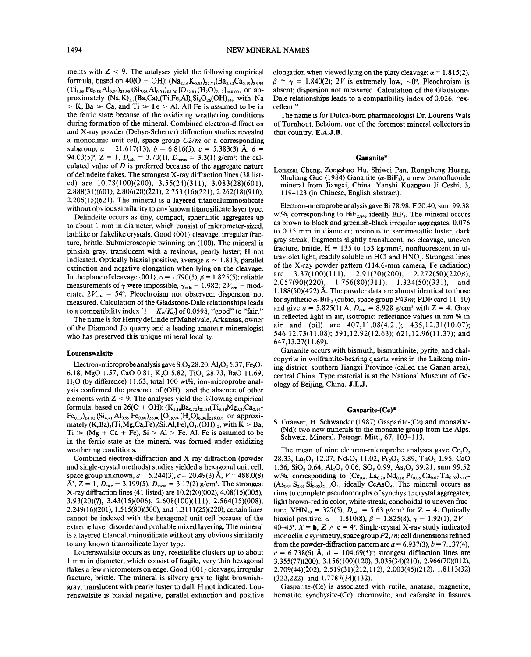ments with  $Z < 9$ . The analyses yield the following empirical formula, based on 40(O + OH): (Na<sub>2.16</sub>K<sub>o.55</sub>)<sub>22.71</sub>(Ba<sub>3.80</sub>Ca<sub>0.19</sub>)<sub>23.99</sub>  $({\rm Ti}_{5.08}\, \rm Fe_{0.56}\,Al_{0.34})_{25.98}\,({\rm Si}_{7.96}\,Al_{0.04})_{28.00}\,[\rm O_{32.83}\,(\rm H_2O)_{7.17}]_{240.00},\,$  or approximately  $(Na,K)_{2.7}$ (Ba,Ca)<sub>4</sub>(Ti,Fe,Al)<sub>6</sub>Si<sub>8</sub>O<sub>26</sub>(OH)<sub>14</sub>, with Na  $> K$ , Ba  $> Ca$ , and Ti  $> Fe > Al$ . All Fe is assumed to be in the ferric state because of the oxidizing weathering conditions during formation of the mineral. Combined electron-diffraction and X-ray powder (Debye-Scherrer) diffraction studies revealed a monoclinic unit cell, space group *C2/m* or a corresponding subgroup,  $a = 21.617(13)$ ,  $b = 6.816(5)$ ,  $c = 5.383(3)$  Å,  $\beta =$ 94.03(5)°, Z = 1,  $D_{\text{calc}}$  = 3.70(1),  $D_{\text{meas}}$  = 3.3(1) g/cm<sup>3</sup>; the calculated value of *D* is preferred because of the aggregate nature of delindeite flakes. The strongest X-ray diffraction lines (38 listed) are 10.78(100)(200), 3.55(24)(311), 3.083(28)(601), 2.888(31)(601),2.806(20)(221),2.753 (16)(221), 2.262(18)(910), 2.206(15)(621). The mineral is a layered titanoaluminosilicate without obvious similarity to any known titanosilicate layer type.

Delindeite occurs as tiny, compact, spherulitic aggregates up to about 1 mm in diameter, which consist of micrometer-sized, lathlike or flakelike crystals. Good {001} cleavage, irregular fracture, brittle. Submicroscopic twinning on (100). The mineral is pinkish gray, translucent with a resinous, pearly luster; H not indicated. Optically biaxial positive, average  $n \sim 1.813$ , parallel extinction and negative elongation when lying on the cleavage. In the plane of cleavage  $\{001\}$ ,  $\alpha = 1.790(5)$ ,  $\beta = 1.825(5)$ ; reliable measurements of  $\gamma$  were impossible,  $\gamma_{\text{calc}} = 1.982$ ;  $2V_{\text{obs}} = \text{mod}$ erate,  $2V_{\text{calc}} = 54^{\circ}$ . Pleochroism not observed; dispersion not measured. Calculation of the Gladstone-Dale relationships leads to a compatibility index  $[1 - K_p/K_c]$  of 0.0598, "good" to "fair."

The name is for Henry deLinde of Mabelvale, Arkansas, owner of the Diamond Jo quarry and a leading amateur mineralogist who has preserved this unique mineral locality.

### Lourenswalsite

Electron-microprobe analysis gave SiO, 28.20, Al,  $O_3$ , 5.37, Fe, $O_3$ 6.18, MgO 1.57, CaO 0.81, K,O 5.82, TiO, 28.73, BaO 11.69, H,O (by difference) 11.63, total 100 wt%; ion-microprobe analysis confirmed the presence of (OH)- and the absence of other elements with  $Z < 9$ . The analyses yield the following empirical formula, based on 26(O + OH):  $(K_{1.16}Ba_{0.72})_{21.88}(Ti_{3.38}Mg_{0.37}Ca_{0.14}$ - $Fe_{0.13}$ <sub>24.02</sub> (Si<sub>4.41</sub> Al<sub>0.99</sub> Fe<sub>0.60</sub>)<sub>26.00</sub> [O<sub>19.94</sub> (H<sub>2</sub>O)<sub>6.06</sub>]<sub>226.00</sub>, or approximately  $(K,Ba)_{2}(Ti,Mg,Ca,Fe)_{4}(Si,Al,Fe)_{6}O_{14}(OH)_{12}$ , with  $K > Ba$ ,  $Ti \gg (Mg + Ca + Fe)$ ,  $Si > Al > Fe$ . All Fe is assumed to be in the ferric state as the mineral was formed under oxidizing weathering conditions.

Combined electron-diffraction and X-ray diffraction (powder and single-crystal methods) studies yielded a hexagonal unit cell, space group unknown, *a* = 5.244(3), *c* = 20.49(3) A, *V* = 488.0(8)  $\AA^3$ , Z = 1,  $D_{\text{calc}} = 3.199(5)$ ,  $D_{\text{meas}} = 3.17(2)$  g/cm<sup>3</sup>. The stronges X-ray diffraction lines (41 listed) are 10.2(20)(002),4.08(15)(005), 3.93(20)(?), 3.43(15)(006), 2.608(100)(111), 2.564(15)(008), 2.249(16)(201), 1.515(80)(300), and 1.3111 (25)(220); certain lines cannot be indexed with the hexagonal unit cell because of the extreme layer disorder and probable mixed layering. The mineral is a layered titanoaluminosilicate without any obvious similarity to any known titanosilicate layer type.

Lourenswalsite occurs as tiny, rosettelike clusters up to about I mm in diameter, which consist of fragile, very thin hexagonal flakes a few micrometers on edge. Good {001} cleavage, irregular fracture, brittle. The mineral is silvery gray to light brownishgray, translucent with pearly luster to dull, H not indicated. Lourenswalsite is biaxial negative, parallel extinction and positive elongation when viewed lying on the platy cleavage;  $\alpha = 1.815(2)$ ,  $\beta \approx \gamma = 1.840(2)$ ; 2*V* is extremely low,  $\sim 0^{\circ}$ . Pleochroism is absent; dispersion not measured. Calculation of the Gladstone-Dale relationships leads to a compatibility index of 0.026, "excellent. "

The name is for Dutch-born pharmacologist Dr. Lourens Wals of Turnhout, Belgium, one of the foremost mineral collectors in that country. E.A.J.B.

### Gananite\*

Longzai Cheng, Zongshao Hu, Shiwei Pan, Rongsheng Huang, Shuliang Guo (1984) Gananite ( $\alpha$ -BiF<sub>3</sub>), a new bismofluoride mineral from Jiangxi, China. Yanshi Kuangwu Ji Ceshi, 3, 119-123 (in Chinese, English abstract).

Electron-microprobe analysis gave Bi 78.98, F 20.40, sum 99.38 wt%, corresponding to  $BiF_{2.84}$ , ideally  $BiF_3$ . The mineral occurs as brown to black and greenish-black irregular aggregates, 0.076 to 0.15 mm in diameter; resinous to semimetallic luster, dark gray streak, fragments slightly translucent, no cleavage, uneven fracture, brittle,  $H = 135$  to 153 kg/mm<sup>2</sup>, nonfluorescent in ultraviolet light, readily soluble in HCl and HNO<sub>3</sub>. Strongest lines of the X-ray powder pattern (I 14.6-mm camera, Fe radiation) are 3.37(100)(111), 2.91(70)(200), 2.272(50)(220*6*), 2.057(90)(220), 1.756(80)(311), 1.334(50)(331), and  $1.188(50)(422)$  Å. The powder data are almost identical to those for synthetic  $\alpha$ -BiF<sub>3</sub> (cubic, space group *P43m*; PDF card 11-10) and give  $a = 5.825(1)$  Å,  $D_{\text{calc}} = 8.928$  g/cm<sup>3</sup> with  $Z = 4$ . Gray in reflected light in air, isotropic; reflectance values in nm % in air and (oil) are 407,11.08(4.21); 435,12.31(10.07); 546,12.73(11.08); 591,12.92(12.63); 621,12.96(11.37); and 647,13.27(11.69).

Gananite occurs with bismuth, bismuthinite, pyrite, and chalcopyrite in wolframite-bearing quartz veins in the Laikeng mining district, southern Jiangxi Province (called the Ganan area), central China. Type material is at the National Museum of Geology of Beijing, China. J.L.J.

#### Gasparite-(Ce)\*

S. Graeser, H. Schwander (1987) Gasparite-(Ce) and monazite- (Nd): two new minerals to the monazite group from the Alps. Schweiz. Mineral. Petrogr. Mitt., 67, 103-113.

The mean of nine electron-microprobe analyses gave Ce,O, 28.33, La,O, 12.07, Nd,O, 11.02, Pr,03 3.89, ThO, 1.95, CaO 1.36, SiO, 0.64, AI,O, 0.06, SO, 0.99, As,O, 39.21, sum 99.52 wt%, corresponding to  $(Ce_{0.47}La_{0.20}Nd_{0.18}Pr_{0.06}Ca_{0.07}Th_{0.02})_{21.0}$  $(As_{0.94}S_{0.03}Si_{0.03})_{21.0}O_4$ , ideally CeAsO<sub>4</sub>. The mineral occurs as rims to complete pseudomorphs of synchysite crystal aggregates; light brown-red in color, white streak, conchoidal to uneven fracture, VHN<sub>50</sub> = 327(5),  $D_{\text{calc}} = 5.63 \text{ g/cm}^3 \text{ for } Z = 4$ . Opticall biaxial positive,  $\alpha = 1.810(8)$ ,  $\beta = 1.825(8)$ ,  $\gamma = 1.92(1)$ ,  $2V =$ 40-45°,  $X = \mathbf{b}$ ,  $Z \wedge \mathbf{c} = 4$ °. Single-crystal X-ray study indicated monoclinic symmetry, space group  $P2<sub>1</sub>/n$ ; cell dimensions refined from the powder-diffraction pattern are  $a = 6.937(3)$ ,  $b = 7.137(4)$ ,  $c = 6.738(6)$  Å,  $\beta = 104.69(5)$ °; strongest diffraction lines are 3.355(77)(200), 3.156(100)(120), 3.035(34)(210), 2.966(70)(012), 2.709(44)(202),2.519(31)(212,112), 2.003(45)(212), 1.8113(32) (322,222), and 1.7787(34)(132).

Gasparite-(Ce) is associated with rutile, anatase, magnetite, hematite, synchysite-(Ce), chernovite, and cafarsite in fissures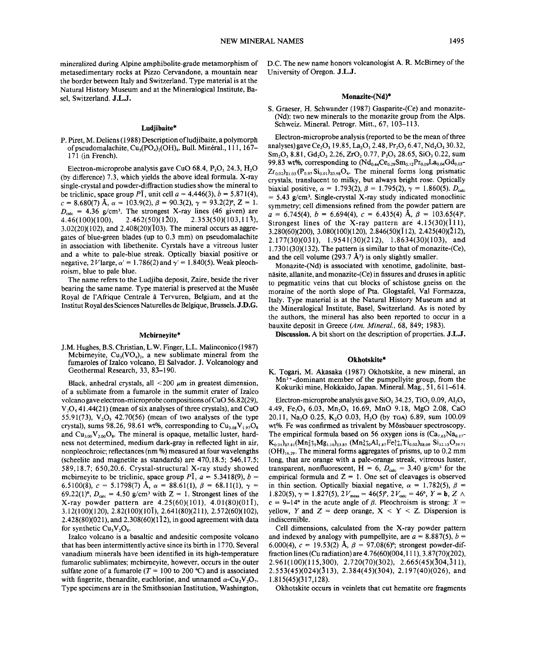mineralized during Alpine amphibolite-grade metamorphism of metasedimentary rocks at Pizzo Cervandone, a mountain near the border between Italy and Switzerland. Type material is at the Natural History Museum and at the Mineralogical Institute, Basel, Switzerland. J.L.J.

### Ludiibaite\*

P. Piret, M. Deliens (1988) Description of ludjibaite, a polymorph of pseudomalachite,  $Cu<sub>5</sub>(PO<sub>4</sub>)<sub>2</sub>(OH)<sub>4</sub>$ . Bull. Minéral., 111, 167-171 (in French).

Electron-microprobe analysis gave CuO 68.4,  $P_2O_5$  24.3,  $H_2O$ (by difference) 7.3, which yields the above ideal formula. X-ray single-crystal and powder-diffraction studies show the mineral to be triclinic, space group  $P\bar{1}$ , unit cell  $a = 4.446(3)$ ,  $b = 5.871(4)$  $c = 8.680(7)$  Å,  $\alpha = 103.9(2)$ ,  $\beta = 90.3(2)$ ,  $\gamma = 93.2(2)$ °,  $Z = 1$ .  $4.46(100)(100)$ ,  $D_{\text{calc}}$  = 4.36 g/cm<sup>3</sup>. The strongest X-ray lines (46 given) are  $2.462(50)(1\overline{2}0), \quad 2.353(50)(103,11\overline{3}),$  $3.02(20)(102)$ , and  $2.408(20)(103)$ . The mineral occurs as aggregates of blue-green blades (up to 0.3 mm) on pseudomalachite in association with libethenite. Cyrstals have a vitreous luster and a white to pale-blue streak. Optically biaxial positive or negative,  $2V$  large,  $\alpha' = 1.786(2)$  and  $\gamma' = 1.840(5)$ . Weak pleoch roism, blue to pale blue.

The name refers to the Ludjiba deposit, Zaire, beside the river bearing the same name. Type material is preserved at the Musée Royal de l'Afrique Centrale a Tervuren, Belgium, and at the Institut Royal des Sciences Naturelles de Belgique, Brussels. J.D.G.

#### Mcbirneyite\*

J.M. Hughes, B.S. Christian, L.W. Finger, L.L. Malinconico (1987) Mcbirneyite,  $Cu<sub>3</sub>(VO<sub>4</sub>)$ , a new sublimate mineral from the fumaroles of Izalco volcano, El Salvador. J. Volcanology and Geothermal Research, 33, 83-190.

Black, anhedral crystals, all  $\lt$  200  $\mu$ m in greatest dimension, of a sublimate from a fumarole in the summit crater of Izalco volcano gave electron-microprobe compositions ofCuO 56.82(29),  $V<sub>2</sub>O<sub>5</sub>$  41.44(21) (mean of six analyses of three crystals), and CuO 55.91(73),  $V<sub>2</sub>O<sub>5</sub>$ , 42.70(56) (mean of two analyses of the type crystal), sums 98.26, 98.61 wt%, corresponding to  $Cu<sub>3.08</sub>V<sub>1.97</sub>O<sub>8</sub>$ and  $Cu_{3.00}V_{2.00}O_8$ . The mineral is opaque, metallic luster, hardness not determined, medium dark-gray in reflected light in air, nonpleochroic; reflectances (nm %) measured at four wavelengths (scheelite and magnetite as standards) are 470,18.5; 546,17.5; 589,18.7; 650,20.6. Crystal-structural X-ray study showed mcbirneyite to be triclinic, space group  $P\overline{1}$ ,  $a = 5.3418(9)$ ,  $b =$ 6.5100(8),  $c = 5.1798(7)$  Å,  $\alpha = 88.61(1)$ ,  $\beta = 68.11(1)$ ,  $\gamma =$ 69.22(1)°,  $D_{\text{calc}} = 4.50$  g/cm<sup>3</sup> with  $Z = 1$ . Strongest lines of the X-ray powder pattern are  $4.25(60)(101)$ ,  $4.01(80)(01\bar{1})$ , 3.12(100)(120),2.82(100)(101), 2.641(80)(211), 2.572(60)(102),  $2.428(80)(021)$ , and  $2.308(60)(1\overline{1}2)$ , in good agreement with data for synthetic  $Cu_3V_2O_8$ .

Izalco volcano is a basaltic and andesitic composite volcano that has been intermittently active since its birth in 1770. Several vanadium minerals have been identified in its high-temperature fumarolic sublimates; mcbirneyite, however, occurs in the outer sulfate zone of a fumarole  $(T = 100$  to 200 °C) and is associated with fingerite, thenardite, euchlorine, and unnamed  $\alpha$ -Cu<sub>2</sub>V<sub>2</sub>O<sub>7</sub>. Type specimens are in the Smithsonian Institution, Washington,

D.C. The new name honors volcanologist A. R. McBirney of the University of Oregon. J.L.J.

## Monazite-(Nd)\*

S. Graeser, H. Schwander (1987) Gasparite-(Ce) and monazite- (Nd): two new minerals to the monazite group from the Alps. Schweiz. Mineral. Petrogr. Mitt., 67, 103-113.

Electron-microprobe analysis (reported to be the mean of three analyses) gave Ce<sub>2</sub>O<sub>3</sub> 19.85, La<sub>2</sub>O<sub>3</sub> 2.48, Pr<sub>2</sub>O<sub>3</sub> 6.47, Nd<sub>2</sub>O<sub>3</sub> 30.32,  $Sm_2O_3$  8.81,  $Gd_2O_3$  2.26,  $ZrO_2$  0.77,  $P_2O_5$  28.65,  $SiO_2$  0.22, sum 99.83 wt%, corresponding to  $(Nd_{0.44}Ce_{0.29}Sm_{0.12}Pr_{0.09}La_{0.04}Gd_{0.03}$  $Zr_{0.02}$ <sub>21.03</sub> (P<sub>0.97</sub> Si<sub>0.01</sub>)<sub>20.98</sub>O<sub>4</sub>. The mineral forms long prismatic crystals, translucent to milky, but always bright rose. Optically biaxial positive,  $\alpha = 1.793(2)$ ,  $\beta = 1.795(2)$ ,  $\gamma = 1.860(5)$ . D<sub>cal</sub>  $= 5.43$  g/cm<sup>3</sup>. Single-crystal X-ray study indicated monoclinic symmetry; cell dimensions refined from the powder pattern are  $a = 6.745(4), b = 6.694(4), c = 6.435(4)$  A,  $\beta = 103.65(4)^{o}$ Strongest lines of the X-ray pattern are  $4.15(30)(\overline{1}11)$ , 3.280(60)(200), 3.080(100)(120), 2.846(50)(112), 2.425(40)(212), 2.177(30)(031), 1.9541(30)(212), 1.8634(30)(103), and  $1.7301(30)(132)$ . The pattern is similar to that of monazite-(Ce), and the cell volume (293.7  $\AA$ <sup>3</sup>) is only slightly smaller.

Monazite-(Nd) is associated with xenotime, gadolinite, bastnäsite, allanite, and monazite-(Ce) in fissures and druses in aplitic to pegmatitic veins that cut blocks of schistose gneiss on the moraine of the north slope of Pta. Glogstafel, Val Formazza, Italy. Type material is at the Natural History Museum and at the Mineralogical Institute, Basel, Switzerland. As is noted by the authors, the mineral has also been reported to occur in a bauxite deposit in Greece *(Am. Mineral.,* 68, 849; 1983).

Discussion. A bit short on the description of properties. J.L.J.

### Okhotskite\*

K. Togari, M. Akasaka (1987) Okhotskite, a new mineral, an  $Mn^{3+}$ -dominant member of the pumpellyite group, from the Kokuriki mine, Hokkaido, Japan. Mineral. Mag., 51, 611-614.

Electron-microprobe analysis gave  $SiO<sub>2</sub> 34.25$ , TiO<sub>2</sub> 0.09, Al<sub>2</sub>O<sub>3</sub> 4.49, Fe20, 6.03, Mn20, 16.69, MnO 9.18, MgO 2.08, CaO 20.11, Na<sub>2</sub>O 0.25, K<sub>2</sub>O 0.03, H<sub>2</sub>O (by TGA) 6.89, sum 100.09 wt%. Fe was confirmed as trivalent by M6ssbauer spectroscopy. The empirical formula based on 56 oxygen ions is  $(Ca_{7.63}Na_{0.17}$ - $K_{0.01}$ <sub>27.81</sub>(Mn<sup>2+</sup><sub>275</sub>Mg<sub>1.10</sub>)<sub>23.85</sub> (Mn<sup>3+</sup><sub>20</sub>Al<sub>1.87</sub>Fe<sup>3+</sup><sub>161</sub>Ti<sub>0.02</sub>)<sub>28.00</sub> Si<sub>12.13</sub>O<sub>39.71</sub>  $(OH)_{16.29}$ . The mineral forms aggregates of prisms, up to 0.2 mm long, that are orange with a pale-orange streak, vitreous luster, transparent, nonfluorescent,  $H = 6$ ,  $D_{calc} = 3.40$  g/cm<sup>3</sup> for the empirical formula and  $Z = 1$ . One set of cleavages is observed in thin section. Optically biaxial negative,  $\alpha = 1.782(5)$ ,  $\beta =$ 1.820(5),  $\gamma = 1.827(5)$ ,  $2V_{\text{meas}} = 46(5)^\circ$ ,  $2V_{\text{calc}} = 46^\circ$ ,  $Y = \mathbf{b}$ ,  $Z \wedge$ c = 9-14° in the acute angle of  $\beta$ . Pleochroism is strong:  $X =$ yellow, Y and  $Z =$  deep orange,  $X < Y < Z$ . Dispersion is indiscernible.

Cell dimensions, calculated from the X-ray powder pattern and indexed by analogy with pumpellyite, are  $a = 8.887(5)$ ,  $b =$ 6.000(4),  $c = 19.53(2)$  Å,  $\beta = 97.08(6)$ °; strongest powder-di fraction lines (Cu radiation) are 4.76(60)(004, III), 3.87(70)(202), 2.961 (100)(115,300), 2.720(70)(302), 2.665(45)(304,311), 2.553(45)(024)(313), 2.384(45)(304), 2.197(40)(026), and 1.815(45)(317,128).

Okhotskite occurs in veinlets that cut hematite ore fragments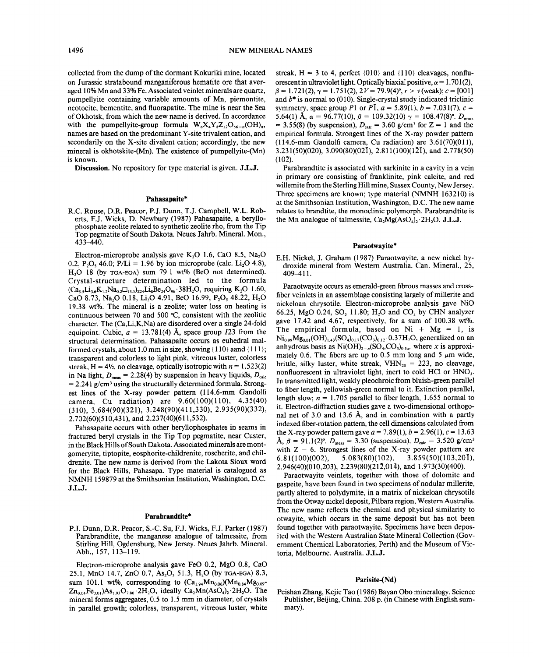collected from the dump of the dormant Kokuriki mine, located on Jurassic stratabound manganiferous hematite ore that averaged 10% Mn and 33% Fe. Associated veinlet minerals are quartz, pumpellyite containing variable amounts of Mn, piemontite, neotocite, bementite, and fluorapatite. The mine is near the Sea of Okhotsk, from which the new name is derived. In accordance with the pumpellyite-group formula  $W_s X_A Y_s Z_{12} O_{56-n} (OH)_n$ , names are based on the predominant Y-site trivalent cation, and secondarily on the X-site divalent cation; accordingly, the new mineral is okhotskite-(Mn). The existence of pumpellyite-(Mn) is known.

Discussion. No repository for type material is given. J.L.J.

#### Pahasapaite\*

R.C. Rouse, D.R. Peacor, P.J. Dunn, T.J. Campbell, W.L. Roberts, F.J. Wicks, D. Newbury (1987) Pahasapaite, a beryllophosphate zeolite related to synthetic zeolite rho, from the Tip Top pegmatite of South Dakota. Neues Jahrb. Mineral. Mon., 433-440.

Electron-microprobe analysis gave K<sub>2</sub>O 1.6, CaO 8.5, Na<sub>2</sub>O 0.2, P<sub>2</sub>O<sub>s</sub> 46.0; P/L<sub>i</sub> = 1.96 by ion microprobe (calc. Li<sub>2</sub>O 4.8), H<sub>2</sub>O 18 (by TGA-EGA) sum 79.1 wt% (BeO not determined). Crystal-structure determination led to the formula  $(Ca, Li, K_1, Na_2 \square_{13.5})$ <sub>22</sub>Li<sub>8</sub>Be<sub>24</sub>O<sub>96</sub>.38H<sub>2</sub>O, requiring K<sub>2</sub>O 1.60, CaO 8.73, Na<sub>2</sub>O 0.18, L<sub>1</sub>O 4.91, BeO 16.99, P<sub>2</sub>O<sub>s</sub> 48.22, H<sub>2</sub>O 19.38 wt%. The mineral is a zeolite; water loss on heating is continuous between 70 and 500°C, consistent with the zeolitic character. The (Ca,Li,K,Na) are disordered over a single 24-fold equipoint. Cubic,  $a = 13.781(4)$  Å, space group  $I23$  from the structural determination. Pahasapaite occurs as euhedral malformed crystals, about 1.0 mm in size, showing  $\{110\}$  aand  $\{111\}$ ; transparent and colorless to light pink, vitreous luster, colorless streak,  $H = 4\frac{1}{2}$ , no cleavage, optically isotropic with  $n = 1.523(2)$ in Na light,  $D_{\text{meas}} = 2.28(4)$  by suspension in heavy liquids,  $D_{\text{calc}}$  $= 2.241$  g/cm<sup>3</sup> using the structurally determined formula. Strongest lines of the X-ray powder pattern (114.6-mm Gandolfi camera, Cu radiation) are 9.60(100)(110), 4.35(40) (310), 3.684(90)(321), 3.248(90)(411,330), 2.935(90)(332), 2.702(60)(510,431), and 2.237(40)(611,532).

Pahasapaite occurs with other beryllophosphates in seams in fractured beryl crystals in the Tip Top pegmatite, near Custer, in the Black Hills of South Dakota. Associated minerals are montgomeryite, tiptopite, eosphorite-childrenite, roscherite, and childrenite. The new name is derived from the Lakota Sioux word for the Black Hills, Pahasapa. Type material is catalogued as NMNH 159879 at the Smithsonian Institution, Washington, D.C. J.L.J.

#### Parabrandtite\*

P.J. Dunn, D.R. Peacor, S.-C. Su, F.J. Wicks, F.J. Parker (1987) Parabrandtite, the manganese analogue of talmessite, from Stirling Hill, Ogdensburg, New Jersey. Neues Jahrb. Mineral. Abh., 157, 113-119.

Electron-microprobe analysis gave FeO 0.2, MgO 0.8, CaO 25.1, MnO 14.7, ZnO 0.7, As<sub>2</sub>O<sub>3</sub> 51.3, H<sub>2</sub>O (by TGA-EGA) 8.3, sum 101.1 wt%, corresponding to  $(Ca_{1.94}Mn_{0.06})(Mn_{0.84}Mg_{0.09} Zn_{0.04}Fe_{0.01}As_{1.93}O_{7.80}$  2H<sub>2</sub>O, ideally Ca<sub>2</sub>Mn(AsO<sub>4</sub>)<sub>2</sub> 2H<sub>2</sub>O. The mineral forms aggregates, 0.5 to 1.5 mm in diameter, of crystals in parallel growth; colorless, transparent, vitreous luster, white

streak,  $H = 3$  to 4, perfect  $\{010\}$  and  $\{110\}$  cleavages, nonfluorescent in ultraviolet light. Optically biaxial positive,  $\alpha = 1.701(2)$ ,  $\beta = 1.721(2), \gamma = 1.751(2), 2V = 79.9(4)$ °,  $r > v$  (weak); c = [001] and  $b^*$  is normal to (010). Single-crystal study indicated triclinic symmetry, space group *P*1 or *PI*,  $a = 5.89(1)$ ,  $b = 7.031(7)$ ,  $c =$ 5.64(1) A,  $\alpha = 96.77(10)$ ,  $\beta = 109.32(10)$   $\gamma = 108.47(8)$ °.  $D_{\text{meas}}$  $= 3.55(8)$  (by suspension  $P_{\text{calc}} = 3.55(8)$  (by suspension),  $D_{\text{calc}} = 3.60$  g/cm<sup>3</sup> for  $Z = 1$  and the empirical formula. Strongest lines of the X-ray powder pattern (114.6-mm Gandolfi camera, Cu radiation) are 3.61(70)(011), 3.231(50)(020),3.090(80)(021),2.811(100)(121), and 2.778(50) (102).

Parabrandtite is associated with sarkinite in a cavity in a vein in primary ore consisting of franklinite, pink calcite, and red willemite from the Sterling Hill mine, Sussex County, New Jersey. Three specimens are known; type material (NMNH 163210) is at the Smithsonian Institution, Washington, D.C. The new name relates to brandtite, the monoclinic polymorph. Parabrandtite is the Mn analogue of talmessite,  $Ca_2Mg(AsO_4)_2 \cdot 2H_2O$ . J.L.J.

### Paraotwayite\*

E.H. Nickel, J. Graham (1987) Paraotwayite, a new nickel hydroxide mineral from Western Australia. Can. Mineral., 25, 409-411.

Paraotwayite occurs as emerald-green fibrous masses and crossfiber veinlets in an assemblage consisting largely of millerite and nickeloan chrysotile. Electron-microprobe analysis gave NiO 66.25, MgO 0.24, SO, 11.80; H<sub>2</sub>O and CO<sub>2</sub> by CHN analyzer gave 17.42 and 4.67, respectively, for a sum of 100.38 wt%. The empirical formula, based on  $Ni + Mg = 1$ , is  $Ni_{0.99}Mg_{0.01}(OH)_{1.43}(SO_4)_{0.17}(CO_3)_{0.12}$  0.37H<sub>2</sub>O, generalized on an anhydrous basis as  $Ni(OH)_{2-x}(SO_4, CO_3)_{0.5x}$ , where *x* is approximately 0.6. The fibers are up to 0.5 mm long and 5  $\mu$ m wide, brittle, silky luster, white streak,  $VHN_{20} = 223$ , no cleavage, nonfluorescent in ultraviolet light, inert to cold HCI or HNO,. In transmitted light, weakly pleochroic from bluish-green parallel to fiber length, yellowish-green normal to it. Extinction parallel, length slow;  $n = 1.705$  parallel to fiber length, 1.655 normal to it. Electron-diffraction studies gave a two-dimensional orthogonal net of 3.0 and 13.6 A, and in combination with a partly indexed fiber-rotation pattern, the cell dimensions calculated from the X-ray powder pattern gave  $a = 7.89(1)$ ,  $b = 2.96(1)$ ,  $c = 13.63$  $\text{A, } \beta = 91.1(2)$ °.  $D_{\text{meas}} = 3.30$  (suspension),  $D_{\text{calc}} = 3.520$  g/cm with  $Z = 6$ . Strongest lines of the X-ray powder pattern are  $6.81(100)(002), 5.083(80)(102), 3.859(50)(103,201),$ 2.946(40)(010,203), 2.239(80)(212,014), and 1.973(30)(400).

Paraotwayite veinlets, together with those of dolomite and gaspeite, have been found in two specimens of nodular millerite, partly altered to polydymite, in a matrix of nickeloan chrysotile from the Otway nickel deposit, Pilbara region, Western Australia. The new name reflects the chemical and physical similarity to otwayite, which occurs in the same deposit but has not been found together with paraotwayite. Specimens have been deposited with the Western Australian State Mineral Collection (Government Chemical Laboratories, Perth) and the Museum of Victoria, Melbourne, Australia. J.L.J.

#### Parisite-(Nd)

Peishan Zhang, Kejie Tao (1986) Bayan Obo mineralogy. Science Publisher, Beijing, China. 208 p. (in Chinese with English summary).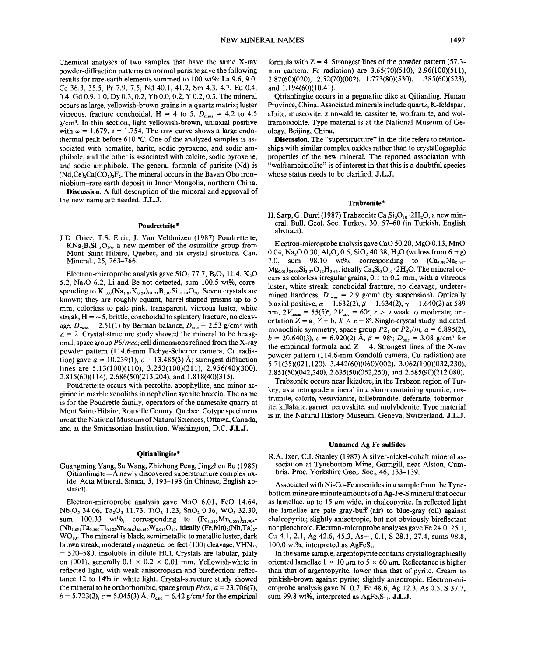Chemical analyses of two samples that have the same X-ray powder-diffraction patterns as normal parisite gave the following results for rare-earth elements summed to 100 wt%: La 9.6, 9.0, Ce 36.3, 35.5, Pr 7.9, 7.5, Nd 40.1, 41.2, Sm 4.3, 4.7, Eu 0.4, 0.4, Gd 0.9, 1.0, Dy 0.3,0.2, Yb 0.0, 0.2, Y 0.2, 0.3. The mineral occurs as large, yellowish-brown grains in a quartz matrix; luster vitreous, fracture conchoidal,  $H = 4$  to 5,  $D_{meas} = 4.2$  to 4.5  $g/cm<sup>3</sup>$ . In thin section, light yellowish-brown, uniaxial positive with  $\omega = 1.679$ ,  $\epsilon = 1.754$ . The DTA curve shows a large endothermal peak before 610°C. One of the analyzed samples is associated with hematite, barite, sodic pyroxene, and sodic amphibole, and the other is associated with calcite, sodic pyroxene, and sodic amphibole. The general formula of parisite-(Nd) is  $(Nd, Ce)$ , $Ca(CO<sub>3</sub>)$ , $F<sub>2</sub>$ . The mineral occurs in the Bayan Obo ironniobium-rare earth deposit in Inner Mongolia, northern China.

Discussion. A full description of the mineral and approval of the new name are needed. J.L.J.

#### Poudretteite\*

J.D. Grice, T.S. Ercit, J. Van Velthuizen (1987) Poudretteite,  $KNa_2B_3Si_{12}O_{30}$ , a new member of the osumilite group from Mont Saint-Hilaire, Quebec, and its crystal structure. Can. Mineral., 25, 763-766.

Electron-microprobe analysis gave SiO, 77.7, B,O, 11.4, K,O 5.2, Na,O 6.2, Li and Be not detected, sum 100.5 wt%, corresponding to  $K_{1,00}(Na_{1.87}K_{0.04})_{\Sigma1.91}B_{3.05}Si_{12.14}O_{30}$ . Seven crystals are known; they are roughly equant, barrel-shaped prisms up to 5 mm, colorless to pale pink, transparent, vitreous luster, white streak,  $H = -5$ , brittle, conchoidal to splintery fracture, no cleavage,  $D_{\text{meas}} = 2.51(1)$  by Berman balance,  $D_{\text{calc}} = 2.53$  g/cm<sup>3</sup> with  $Z = 2$ . Crystal-structure study showed the mineral to be hexagonal, space group *P6/mcc;* cell dimensions refined from the X-ray powder pattern (l14.6-mm Debye-Scherrer camera, Cu radiation) gave  $a = 10.239(1)$ ,  $c = 13.485(3)$  Å; strongest diffraction lines are 5.13(100)(110), 3.253(100)(211), 2.956(40)(300), 2.815(60)(114),2.686(50)(213,204), and 1.818(40)(315).

Poudretteite occurs with pectolite, apophyllite, and minor aegirine in marble xenoliths in nepheline syenite breccia. The name is for the Poudrette family, operators of the namesake quarry at Mont Saint-Hilaire, Rouville County, Quebec. Cotype specimens are at the National Museum of Natural Sciences, Ottawa, Canada, and at the Smithsonian Institution, Washington, D.C. J.L.J.

#### Qitianlingite\*

Guangming Yang, Su Wang, Zhizhong Peng, Jingzhen Bu (1985) Qitianlingite- A newly discovered superstructure complex oxide. Acta Mineral. Sinica, 5, 193-198 (in Chinese, English abstract).

Electron-microprobe analysis gave MnO 6.01, FeO 14.64, Nb,O, 34.06, Ta,O, 11.73, TiO, 1.23, SnO, 0.36, WO, 32.30, sum 100.33 wt%, corresponding to  $(Fe_{1.345}Mn_{0.559})_{21.904}$ - $(Nb_{1.691}Ta_{0.350}Ti_{0.102}Sn_{0.016})_{22.159}W_{0.919}O_{10}$ , ideally (Fe,Mn)<sub>2</sub>(Nb,Ta)<sub>2</sub>- $WO_{10}$ . The mineral is black, semimetallic to metallic luster, dark brown streak, moderately magnetic, perfect  $\{100\}$  cleavage, VHN<sub>50</sub>  $=$  520–580, insoluble in dilute HCI. Crystals are tabular, platy = on  $\{001\}$ , generally  $0.1 \times 0.2 \times 0.01$  mm. Yellowish-white in reflected light, with weak anisotropism and bireflection; reflectance 12 to 14% in white light. Crystal-structure study showed the mineral to be orthorhombic, space group *Pbcn,*  $a = 23.706(7)$ ,  $b = 5.723(2), c = 5.045(3)$  Å;  $D_{\text{calc}} = 6.42$  g/cm<sup>3</sup> for the empirical

formula with  $Z = 4$ . Strongest lines of the powder pattern (57.3) mm camera, Fe radiation) are 3.65(70)(510), 2.96(100)(511), 2.87(60)(020), 2.52(70)(002), 1.773(80)(530), 1.385(60)(523), and 1.194(60)(10.41).

Qitianlingite occurs in a pegmatite dike at Qitianling. Hunan Province, China. Associated minerals include quartz, K-feldspar, albite, muscovite, zinnwaldite, cassiterite, wolframite, and wolframoixiolite. Type material is at the National Museum of Geology, Beijing, China.

Discussion. The "superstructure" in the title refers to relationships with similar complex oxides rather than to crystallographic properties of the new mineral. The reported association with "wolframoixiolite" is of interest in that this is a doubtful species whose status needs to be clarified. J.L.J.

### Trabzonite\*

H. Sarp, G. Burri (1987) Trabzonite  $Ca_4Si_3O_{10}$   $2H_2O$ , a new mineral. Bull. Geol. Soc. Turkey, 30, 57-60 (in Turkish, English abstract).

Electron-microprobe analysis gave CaO 50.20, MgO 0.13, MnO 0.04, Na,O 0.30, A1,O, 0.5, SiO, 40.38, H20 (wt loss from 6 mg) 7.0, sum 98.10 wt%, corresponding to  $(Ca_{3.99}Na_{0.05}$  $Mg_{0.01}$ <sub>24.05</sub> $Si_{3.07}O_{12}H_{3.66}$ , ideally  $Ca_4Si_3O_{10}$   $^2H_2O$ . The mineral occurs as colorless irregular grains, 0.1 to 0.2 mm, with a vitreous luster, white streak, conchoidal fracture, no cleavage, undetermined hardness,  $D_{\text{meas}} = 2.9 \text{ g/cm}^3$  (by suspension). Optically biaxial positive,  $\alpha = 1.632(2)$ ,  $\beta = 1.634(2)$ ,  $\gamma = 1.640(2)$  at 589 nm,  $2V_{\text{meas}} = 55(5)°$ ,  $2V_{\text{calc}} = 60°$ ,  $r > v$  weak to moderate; orientation  $Z = \mathbf{a}$ ,  $Y = \mathbf{b}$ ,  $X \wedge \mathbf{c} = 8^{\circ}$ . Single-crystal study indicate monoclinic symmetry, space group  $P2_1$  or  $P2_1/m$ ,  $a = 6.895(2)$ ,  $b = 20.640(3)$ ,  $c = 6.920(2)$  Å,  $\beta = 98^\circ$ ;  $D_{\text{calc}} = 3.08$  g/cm<sup>3</sup> for the empirical formula and  $Z = 4$ . Strongest lines of the X-ray powder pattern (114.6-mm Gandolfi camera, Cu radiation) are 5.71 (35)(021,120), 3.442(60)(060)(002), 3.062(100)(032,230), 2.851(50)(042,240), 2.635(50)(052,250), and 2.585(90)(212,080).

Trabzonite occurs near İkizdere, in the Trabzon region of Turkey, as a retrograde mineral in a skarn containing spurrite, rustrumite, calcite, vesuvianite, hillebrandite, defernite, tobermorite, killalaite, gamet, perovskite, and molybdenite. Type material is in the Natural History Museum, Geneva, Switzerland. J.L.J.

#### Unnamed Ag-Fe sulfides

R.A. Ixer, c.J. Stanley (1987) A silver-nickel-cobalt mineral association at Tynebottom Mine, Garrigill, near Alston, Cumbria. Proc. Yorkshire Geol. Soc., 46, 133-139.

Associated with Ni-Co-Fe arsenides in a sample from the Tynebottom mine are minute amounts of a Ag-Fe-S mineral that occur as lamellae, up to 15  $\mu$ m wide, in chalcopyrite. In reflected light the lamellae are pale gray-buff (air) to blue-gray (oil) against chalcopyrite; slightly anisotropic, but not obviously bireflectant nor pleochroic. Electron-microprobe analyses gave Fe 24.0, 25.1, Cu 4.1, 2.1, Ag 42.6, 45.3, As-, 0.1, S 28.1, 27.4, sums 98.8, 100.0 wt%, interpreted as AgFeS,.

In the same sample, argentopyrite contains crystallographically oriented lamellae  $1 \times 10 \mu m$  to  $5 \times 60 \mu m$ . Reflectance is higher than that of argentopyrite, lower than that of pyrite. Cream to pinkish-brown against pyrite; slightly anisotropic. Electron-microprobe analysis gave Ni 0.7, Fe 48.6, Ag 12.3, As 0.5, S 37.7, sum 99.8 wt%, interpreted as  $AgFe<sub>8</sub>S<sub>11</sub>$ . J.L.J.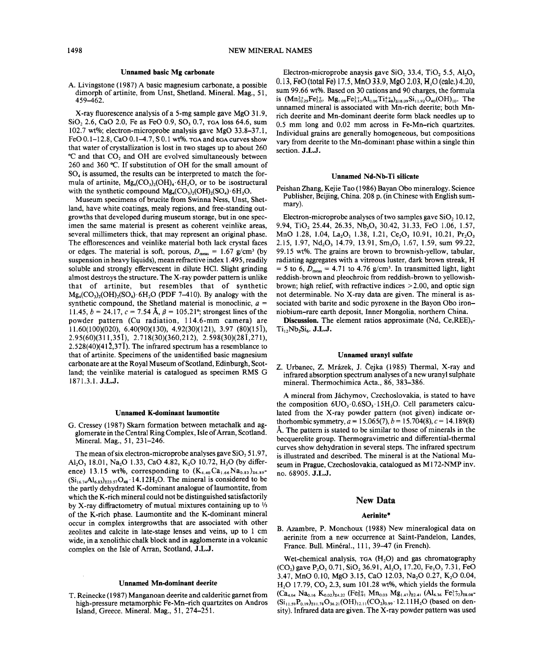### Unnamed basic Mg carbonate

A. Livingstone (1987) A basic magnesium carbonate, a possible dimorph of artinite, from Unst, Shetland. Mineral. Mag., 51, 459-462.

X-ray fluorescence analysis of a 5-mg sample gave MgO 31.9, SiO<sub>2</sub> 2.6, CaO 2.0, Fe as FeO 0.9, SO<sub>3</sub> 0.7, TGA loss 64.6, sum 102.7 wt%; electron-microprobe analysis gave MgO 33.8-37.1, FeO 0.1-12.8, CaO 0.1-4.7, S 0.1 wt%. TGA and EGA curves show that water of crystallization is lost in two stages up to about 260 °C and that CO, and OH are evolved simultaneously between 260 and 360°C. If substitution of OH for the small amount of  $SO<sub>4</sub>$  is assumed, the results can be interpreted to match the formula of artinite,  $Mg_4(CO_3)_2(OH)_4.6H_2O$ , or to be isostructural with the synthetic compound  $Mg_{4}(CO_{3})$ ,  $(OH)_{2}(SO_{4})$   $6H_{2}O$ .

Museum specimens of brucite from Swinna Ness, Unst, Shetland, have white coatings, mealy regions, and free-standing outgrowths that developed during museum storage, but in one specimen the same material is present as coherent veinlike areas, several millimeters thick, that may represent an original phase. The efflorescences and veinlike material both lack crystal faces or edges. The material is soft, porous,  $D_{\text{meas}} = 1.67 \text{ g/cm}^3$  (by suspension in heavy liquids), mean refractive index 1.495, readily soluble and strongly effervescent in dilute HCl. Slight grinding almost destroys the structure. The X-ray powder pattern is unlike that of artinite, but resembles that of synthetic  $Mg_4(CO_3)_2(OH)_2(SO_4)$  6H<sub>2</sub>O (PDF 7-410). By analogy with the synthetic compound, the Shetland material is monoclinic, *a =* 11.45,  $b = 24.17$ ,  $c = 7.54$  Å,  $\beta = 105.21$ °; strongest lines of the powder pattern (Cu radiation, lI4.6-mm camera) are 11.60(100)(020), 6.40(90)(130), 4.92(30)(121), 3.97 (80)(151), 2.95(60)(311,351), 2.718(30)(360,212), 2.598(30)(281,271), 2.528(40)(412,371). The infrared spectrum has a resemblance to that of artinite. Specimens of the unidentified basic magnesium carbonate are at the Royal Museum of Scotland, Edinburgh, Scotland; the veinlike material is catalogued as specimen RMS G 1871.3.1. J.L.J.

### Unnamed K-dominant laumontite

G. Cressey (1987) Skarn formation between metachalk and agglomerate in the Central Ring Complex, Isle of Arran, Scotland. Mineral. Mag., 51, 231-246.

The mean of six electron-microprobe analyses gave  $SiO<sub>2</sub> 51.97$ , Al<sub>2</sub>O<sub>1</sub> 18.01, Na<sub>2</sub>O 1.33, CaO 4.82, K<sub>2</sub>O 10.72, H<sub>2</sub>O (by difference) 13.15 wt%, corresponding to  $(K_{4,40}Ca_{1,66}Na_{0,83})_{26,89}$ - $(Si_{16,74}Al_{6,83})_{223,57}O_{48}$  14.12H<sub>2</sub>O. The mineral is considered to be the partly dehydrated K-dominant analogue of laumontite, from which the K-rich mineral could not be distinguished satisfactorily by X-ray diffractometry of mutual mixtures containing up to  $\frac{1}{3}$ of the K-rich phase. Laumontite and the K-dominant mineral occur in complex intergrowths that are associated with other zeolites and calcite in late-stage lenses and veins, up to 1 cm wide, in a xenolithic chalk block and in agglomerate in a volcanic complex on the Isle of Arran, Scotland, J.L.J.

### Unnamed Mn-dominant deerite

T. Reinecke (1987) Manganoan deerite and calderitic garnet from high-pressure metamorphic Fe-Mn-rich quartzites on Andros Island, Greece. Mineral. Mag., 51, 274-251.

Electron-microprobe anaysis gave SiO, 33.4, TiO, 5.5, AI,O, 0.13, FeO(total Fe) 17.5, MnO 33.9, MgO 2.03, H,O(calc.) 4.20, sum 99.66 wt%. Based on 30 cations and 90 charges, the formula is  $(Mn_{10.25}^2Fe_{2.07}^{2+} Mg_{1.08}Fe_{3.15}^{3+} Al_{0.06}Ti_{1.48}^{4+}h_{218.09}Si_{11.92}O_{40}(OH)_{10}$ . The unnamed mineral is associated with Mn-rich deerite; both Mnrich deerite and Mn-dominant deerite form black needles up to 0.5 mm long and 0.02 mm across in Fe-Mn-rich quartzites. Individual grains are generally homogeneous, but compositions vary from deerite to the Mn-dominant phase within a single thin section. J.L.J.

#### Unnamed Nd-Nb-Ti silicate

Peishan Zhang, Kejie Tao (1986) Bayan Obo mineralogy. Science Publisher, Beijing, China. 208 p. (in Chinese with English summary).

Electron-microprobe analyses of two samples gave SiO, 10.12, 9.94, TiO, 25.44, 26.35, Nb,O, 30.42, 31.33, FeO 1.06, 1.57, MnO 1.28, 1.04, La<sub>2</sub>O<sub>3</sub> 1.38, 1.21, Ce<sub>2</sub>O<sub>3</sub> 10.91, 10.21, Pr<sub>2</sub>O<sub>3</sub> 2.15, 1.97, Nd<sub>2</sub>O<sub>3</sub> 14.79, 13.91, Sm<sub>2</sub>O<sub>3</sub> 1.67, 1.59, sum 99.22, 99.15 wt%. The grains are brown to brownish-yellow, tabular, radiating aggregates with a vitreous luster, dark brown streak, H  $= 5$  to 6,  $D_{\text{meas}} = 4.71$  to 4.76 g/cm<sup>3</sup>. In transmitted light, light reddish-brown and pleochroic from reddish-brown to yellowishbrown; high relief, with refractive indices  $> 2.00$ , and optic sign not determinable. No X-ray data are given. The mineral is associated with barite and sodic pyroxene in the Bayon Obo ironniobium-rare earth deposit, Inner Mongolia, northern China.

Discussion. The element ratios approximate (Nd, Ce,REE),- $Ti<sub>1</sub>,Nb<sub>2</sub>Si<sub>6</sub>. J.L.J.$ 

#### Unnamed uranyl sulfate

Z. Urbanec, Z. Mrázek, J. Čejka (1985) Thermal, X-ray and infrared absorption spectrum analyses of a new uranyl sulphate mineral. Thermochimica Acta., 86, 383-386.

A mineral from Jáchymov, Czechoslovakia, is stated to have the composition  $6UO_3.0.6SO_3.15H_2O$ . Cell parameters calculated from the X-ray powder pattern (not given) indicate orthorhombic symmetry,  $a = 15.065(7)$ ,  $b = 15.704(8)$ ,  $c = 14.189(8)$ A. The pattern is stated to be similar to those of minerals in the becquerelite group. Thermogravimetric and differential-thermal curves show dehydration in several steps. The infrared spectrum is illustrated and described. The mineral is at the National Museum in Prague, Czechoslovakia, catalogued as MI72-NMP inv. no. 68905. J.L.J.

# New Data

### Aerinite\*

B. Azambre, P. Monchoux (1988) New mineralogical data on aerinite from a new occurrence at Saint-Pandelon, Landes, France. Bull. Minéral., 111, 39-47 (in French).

Wet-chemical analysis, TGA (H<sub>2</sub>O) and gas chromatography (CO<sub>2</sub>) gave P<sub>2</sub>O<sub>5</sub> 0.71, SiO<sub>2</sub> 36.91, Al<sub>2</sub>O<sub>3</sub> 17.20, Fe<sub>2</sub>O<sub>3</sub> 7.31, FeO 3.47, MnO 0.10, MgO 3.15, CaO 12.03, Na<sub>2</sub>O 0.27, K<sub>2</sub>O 0.04, H<sub>2</sub>O 17.79, CO<sub>2</sub> 2.3, sum 101.28 wt%, which yields the formula  $(Ca_{4.04} Na_{0.16} K_{0.02})_{24.22}$  (Fe<sub>0.91</sub> Mn<sub>0.03</sub> Mg<sub>1.47</sub>)<sub>22.41</sub> (Al<sub>6.36</sub> Fe<sup>3+</sup><sub>1.72</sub>)<sub>28.08</sub>  $(Si_{11.59}P_{0.19})_{211.78}O_{36.21}(OH)_{12.11}(CO_2)_{0.99} \cdot 12.11H_2O$  (based on density). Infrared data are given. The X-ray powder pattern was used